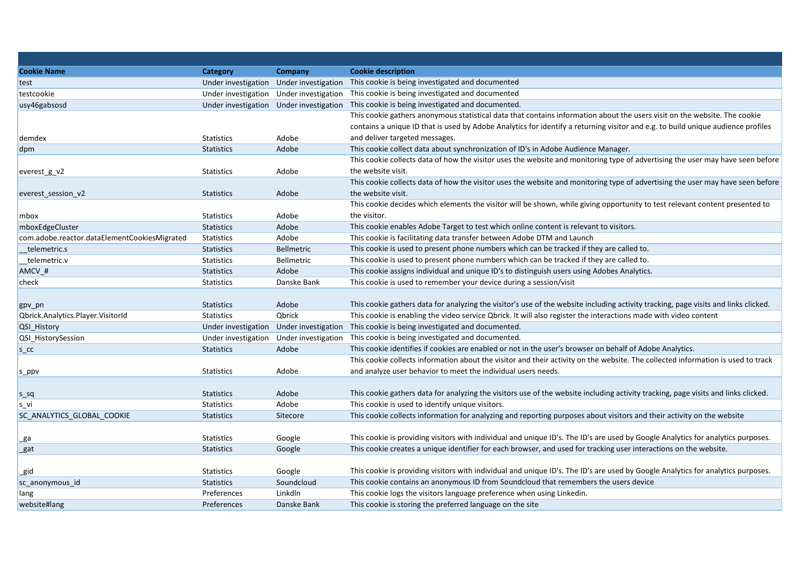| <b>Cookie Name</b>                           | <b>Category</b>     | Company                                 | <b>Cookie description</b>                                                                                                           |
|----------------------------------------------|---------------------|-----------------------------------------|-------------------------------------------------------------------------------------------------------------------------------------|
| test                                         | Under investigation | Under investigation                     | This cookie is being investigated and documented                                                                                    |
| testcookie                                   |                     | Under investigation Under investigation | This cookie is being investigated and documented                                                                                    |
| usy46gabsosd                                 |                     | Under investigation Under investigation | This cookie is being investigated and documented.                                                                                   |
|                                              |                     |                                         | This cookie gathers anonymous statistical data that contains information about the users visit on the website. The cookie           |
|                                              |                     |                                         | contains a unique ID that is used by Adobe Analytics for identify a returning visitor and e.g. to build unique audience profiles    |
| demdex                                       | <b>Statistics</b>   | Adobe                                   | and deliver targeted messages.                                                                                                      |
| dpm                                          | <b>Statistics</b>   | Adobe                                   | This cookie collect data about synchronization of ID's in Adobe Audience Manager.                                                   |
|                                              |                     |                                         | This cookie collects data of how the visitor uses the website and monitoring type of advertising the user may have seen before      |
| everest_g_v2                                 | <b>Statistics</b>   | Adobe                                   | the website visit.                                                                                                                  |
|                                              |                     |                                         | This cookie collects data of how the visitor uses the website and monitoring type of advertising the user may have seen before      |
| everest_session_v2                           | <b>Statistics</b>   | Adobe                                   | the website visit.                                                                                                                  |
|                                              |                     |                                         | This cookie decides which elements the visitor will be shown, while giving opportunity to test relevant content presented to        |
| mbox                                         | <b>Statistics</b>   | Adobe                                   | the visitor.                                                                                                                        |
| mboxEdgeCluster                              | <b>Statistics</b>   | Adobe                                   | This cookie enables Adobe Target to test which online content is relevant to visitors.                                              |
| com.adobe.reactor.dataElementCookiesMigrated | Statistics          | Adobe                                   | This cookie is facilitating data transfer between Adobe DTM and Launch                                                              |
| telemetric.s                                 | <b>Statistics</b>   | <b>Bellmetric</b>                       | This cookie is used to present phone numbers which can be tracked if they are called to.                                            |
| telemetric.v                                 | <b>Statistics</b>   | Bellmetric                              | This cookie is used to present phone numbers which can be tracked if they are called to.                                            |
| AMCV_#                                       | <b>Statistics</b>   | Adobe                                   | This cookie assigns individual and unique ID's to distinguish users using Adobes Analytics.                                         |
| check                                        | <b>Statistics</b>   | Danske Bank                             | This cookie is used to remember your device during a session/visit                                                                  |
|                                              |                     |                                         |                                                                                                                                     |
| gpv_pn                                       | <b>Statistics</b>   | Adobe                                   | This cookie gathers data for analyzing the visitor's use of the website including activity tracking, page visits and links clicked. |
| Qbrick.Analytics.Player.VisitorId            | <b>Statistics</b>   | Qbrick                                  | This cookie is enabling the video service Qbrick. It will also register the interactions made with video content                    |
| QSI_History                                  | Under investigation | Under investigation                     | This cookie is being investigated and documented.                                                                                   |
| QSI HistorySession                           |                     | Under investigation Under investigation | This cookie is being investigated and documented.                                                                                   |
| S <sub>CC</sub>                              | <b>Statistics</b>   | Adobe                                   | This cookie identifies if cookies are enabled or not in the user's browser on behalf of Adobe Analytics.                            |
|                                              |                     |                                         | This cookie collects information about the visitor and their activity on the website. The collected information is used to track    |
| s_ppv                                        | Statistics          | Adobe                                   | and analyze user behavior to meet the individual users needs.                                                                       |
|                                              |                     |                                         |                                                                                                                                     |
| s_sq                                         | <b>Statistics</b>   | Adobe                                   | This cookie gathers data for analyzing the visitors use of the website including activity tracking, page visits and links clicked.  |
| s vi                                         | <b>Statistics</b>   | Adobe                                   | This cookie is used to identify unique visitors.                                                                                    |
| SC ANALYTICS GLOBAL COOKIE                   | <b>Statistics</b>   | Sitecore                                | This cookie collects information for analyzing and reporting purposes about visitors and their activity on the website              |
|                                              |                     |                                         |                                                                                                                                     |
| _ga                                          | <b>Statistics</b>   | Google                                  | This cookie is providing visitors with individual and unique ID's. The ID's are used by Google Analytics for analytics purposes.    |
| _gat                                         | <b>Statistics</b>   | Google                                  | This cookie creates a unique identifier for each browser, and used for tracking user interactions on the website.                   |
|                                              |                     |                                         |                                                                                                                                     |
| _gid                                         | <b>Statistics</b>   | Google                                  | This cookie is providing visitors with individual and unique ID's. The ID's are used by Google Analytics for analytics purposes.    |
| sc anonymous id                              | <b>Statistics</b>   | Soundcloud                              | This cookie contains an anonymous ID from Soundcloud that remembers the users device                                                |
| lang                                         | Preferences         | Linkdln                                 | This cookie logs the visitors language preference when using Linkedin.                                                              |
| website#lang                                 | Preferences         | Danske Bank                             | This cookie is storing the preferred language on the site                                                                           |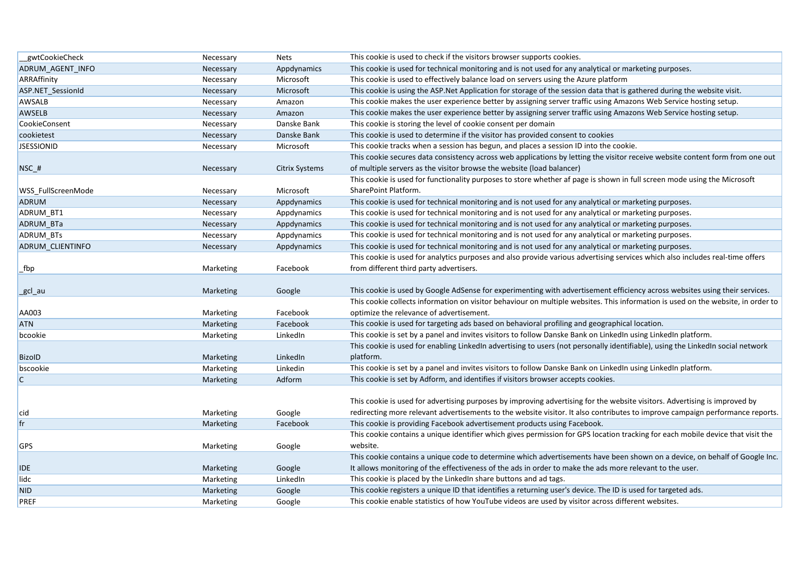| gwtCookieCheck     | Necessary | <b>Nets</b>    | This cookie is used to check if the visitors browser supports cookies.                                                           |
|--------------------|-----------|----------------|----------------------------------------------------------------------------------------------------------------------------------|
| ADRUM AGENT INFO   | Necessary | Appdynamics    | This cookie is used for technical monitoring and is not used for any analytical or marketing purposes.                           |
| ARRAffinity        | Necessary | Microsoft      | This cookie is used to effectively balance load on servers using the Azure platform                                              |
| ASP.NET SessionId  | Necessary | Microsoft      | This cookie is using the ASP. Net Application for storage of the session data that is gathered during the website visit.         |
| AWSALB             | Necessary | Amazon         | This cookie makes the user experience better by assigning server traffic using Amazons Web Service hosting setup.                |
| AWSELB             | Necessary | Amazon         | This cookie makes the user experience better by assigning server traffic using Amazons Web Service hosting setup.                |
| CookieConsent      | Necessary | Danske Bank    | This cookie is storing the level of cookie consent per domain                                                                    |
| cookietest         | Necessary | Danske Bank    | This cookie is used to determine if the visitor has provided consent to cookies                                                  |
| <b>JSESSIONID</b>  | Necessary | Microsoft      | This cookie tracks when a session has begun, and places a session ID into the cookie.                                            |
|                    |           |                | This cookie secures data consistency across web applications by letting the visitor receive website content form from one out    |
| $NSC_{#}$          | Necessary | Citrix Systems | of multiple servers as the visitor browse the website (load balancer)                                                            |
|                    |           |                | This cookie is used for functionality purposes to store whether af page is shown in full screen mode using the Microsoft         |
| WSS FullScreenMode | Necessary | Microsoft      | SharePoint Platform.                                                                                                             |
| ADRUM              | Necessary | Appdynamics    | This cookie is used for technical monitoring and is not used for any analytical or marketing purposes.                           |
| ADRUM_BT1          | Necessary | Appdynamics    | This cookie is used for technical monitoring and is not used for any analytical or marketing purposes.                           |
| <b>ADRUM BTa</b>   | Necessary | Appdynamics    | This cookie is used for technical monitoring and is not used for any analytical or marketing purposes.                           |
| ADRUM BTs          | Necessary | Appdynamics    | This cookie is used for technical monitoring and is not used for any analytical or marketing purposes.                           |
| ADRUM CLIENTINFO   | Necessary | Appdynamics    | This cookie is used for technical monitoring and is not used for any analytical or marketing purposes.                           |
|                    |           |                | This cookie is used for analytics purposes and also provide various advertising services which also includes real-time offers    |
| _fbp               | Marketing | Facebook       | from different third party advertisers.                                                                                          |
|                    |           |                |                                                                                                                                  |
|                    |           |                |                                                                                                                                  |
| _gcl_au            | Marketing | Google         | This cookie is used by Google AdSense for experimenting with advertisement efficiency across websites using their services.      |
|                    |           |                | This cookie collects information on visitor behaviour on multiple websites. This information is used on the website, in order to |
| AA003              | Marketing | Facebook       | optimize the relevance of advertisement.                                                                                         |
| <b>ATN</b>         | Marketing | Facebook       | This cookie is used for targeting ads based on behavioral profiling and geographical location.                                   |
| bcookie            | Marketing | LinkedIn       | This cookie is set by a panel and invites visitors to follow Danske Bank on LinkedIn using LinkedIn platform.                    |
|                    |           |                | This cookie is used for enabling LinkedIn advertising to users (not personally identifiable), using the LinkedIn social network  |
| <b>BizoID</b>      | Marketing | LinkedIn       | platform.                                                                                                                        |
| bscookie           | Marketing | Linkedin       | This cookie is set by a panel and invites visitors to follow Danske Bank on LinkedIn using LinkedIn platform.                    |
| $\mathsf{C}$       | Marketing | Adform         | This cookie is set by Adform, and identifies if visitors browser accepts cookies.                                                |
|                    |           |                |                                                                                                                                  |
|                    |           |                | This cookie is used for advertising purposes by improving advertising for the website visitors. Advertising is improved by       |
| cid                | Marketing | Google         | redirecting more relevant advertisements to the website visitor. It also contributes to improve campaign performance reports.    |
| fr                 | Marketing | Facebook       | This cookie is providing Facebook advertisement products using Facebook.                                                         |
|                    |           |                | This cookie contains a unique identifier which gives permission for GPS location tracking for each mobile device that visit the  |
| <b>GPS</b>         | Marketing | Google         | website.                                                                                                                         |
|                    |           |                | This cookie contains a unique code to determine which advertisements have been shown on a device, on behalf of Google Inc.       |
| <b>IDE</b>         | Marketing | Google         | It allows monitoring of the effectiveness of the ads in order to make the ads more relevant to the user.                         |
| lidc               | Marketing | LinkedIn       | This cookie is placed by the Linked n share buttons and ad tags.                                                                 |
| <b>NID</b>         | Marketing | Google         | This cookie registers a unique ID that identifies a returning user's device. The ID is used for targeted ads.                    |